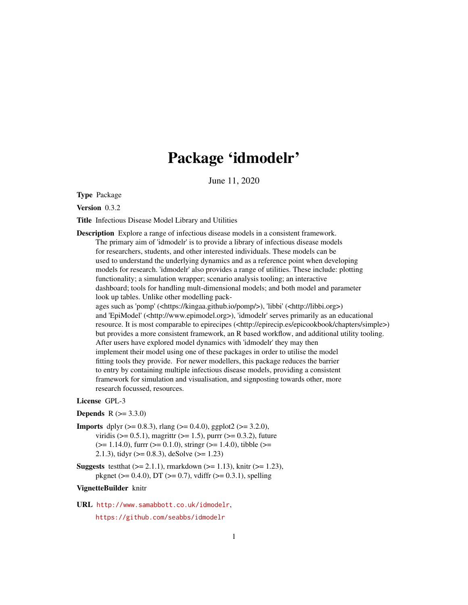## Package 'idmodelr'

June 11, 2020

<span id="page-0-0"></span>Type Package

Version 0.3.2

Title Infectious Disease Model Library and Utilities

Description Explore a range of infectious disease models in a consistent framework. The primary aim of 'idmodelr' is to provide a library of infectious disease models for researchers, students, and other interested individuals. These models can be used to understand the underlying dynamics and as a reference point when developing models for research. 'idmodelr' also provides a range of utilities. These include: plotting functionality; a simulation wrapper; scenario analysis tooling; an interactive dashboard; tools for handling mult-dimensional models; and both model and parameter look up tables. Unlike other modelling packages such as 'pomp' (<https://kingaa.github.io/pomp/>), 'libbi' (<http://libbi.org>) and 'EpiModel' (<http://www.epimodel.org>), 'idmodelr' serves primarily as an educational resource. It is most comparable to epirecipes (<http://epirecip.es/epicookbook/chapters/simple>) but provides a more consistent framework, an R based workflow, and additional utility tooling. After users have explored model dynamics with 'idmodelr' they may then implement their model using one of these packages in order to utilise the model fitting tools they provide. For newer modellers, this package reduces the barrier to entry by containing multiple infectious disease models, providing a consistent framework for simulation and visualisation, and signposting towards other, more research focussed, resources.

#### License GPL-3

**Depends**  $R (= 3.3.0)$ 

- **Imports** dplyr ( $> = 0.8.3$ ), rlang ( $> = 0.4.0$ ), ggplot2 ( $> = 3.2.0$ ), viridis ( $> = 0.5.1$ ), magrittr ( $>= 1.5$ ), purrr ( $>= 0.3.2$ ), future  $(>= 1.14.0)$ , furrr  $(>= 0.1.0)$ , stringr  $(>= 1.4.0)$ , tibble  $(>= 1.4.0)$ 2.1.3), tidyr ( $>= 0.8.3$ ), deSolve ( $>= 1.23$ )
- **Suggests** test that  $(>= 2.1.1)$ , rmarkdown  $(>= 1.13)$ , knitr  $(>= 1.23)$ , pkgnet ( $> = 0.4.0$ ), DT ( $> = 0.7$ ), vdiffr ( $> = 0.3.1$ ), spelling

#### VignetteBuilder knitr

URL <http://www.samabbott.co.uk/idmodelr>,

<https://github.com/seabbs/idmodelr>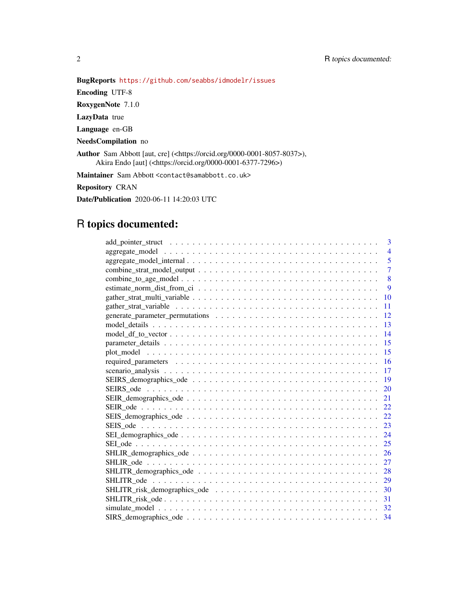## BugReports <https://github.com/seabbs/idmodelr/issues>

Encoding UTF-8

RoxygenNote 7.1.0

LazyData true

Language en-GB

NeedsCompilation no

Author Sam Abbott [aut, cre] (<https://orcid.org/0000-0001-8057-8037>), Akira Endo [aut] (<https://orcid.org/0000-0001-6377-7296>)

Maintainer Sam Abbott <contact@samabbott.co.uk>

Repository CRAN

Date/Publication 2020-06-11 14:20:03 UTC

## R topics documented:

| 3              |
|----------------|
| $\overline{4}$ |
| 5              |
| $\overline{7}$ |
| 8              |
| 9              |
| 10             |
| 11             |
| 12             |
| 13             |
| 14             |
| 15             |
| 15             |
| 16             |
| 17             |
| 19             |
| 20             |
| 21             |
| 22             |
| 22             |
| 23             |
| 24             |
| 25             |
| 26             |
| 27             |
| 28             |
| 29             |
| 30             |
| 31             |
| 32             |
|                |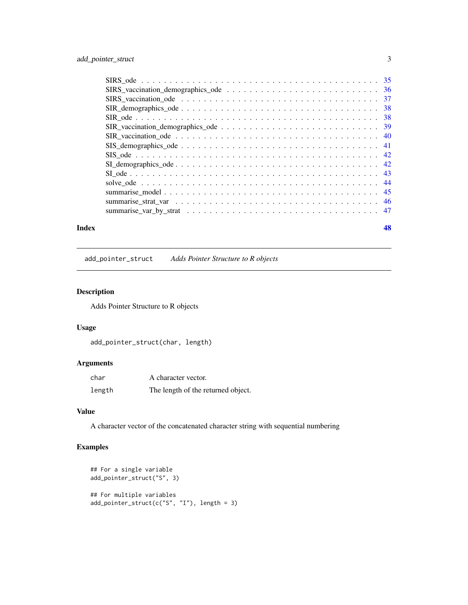<span id="page-2-0"></span>

#### **Index a** set of the contract of the contract of the contract of the contract of the contract of the contract of the contract of the contract of the contract of the contract of the contract of the contract of the contrac

add\_pointer\_struct *Adds Pointer Structure to R objects*

## Description

Adds Pointer Structure to R objects

## Usage

add\_pointer\_struct(char, length)

## Arguments

| char   | A character vector.                |
|--------|------------------------------------|
| length | The length of the returned object. |

## Value

A character vector of the concatenated character string with sequential numbering

```
## For a single variable
add_pointer_struct("S", 3)
## For multiple variables
add_pointer_struct(c("S", "I"), length = 3)
```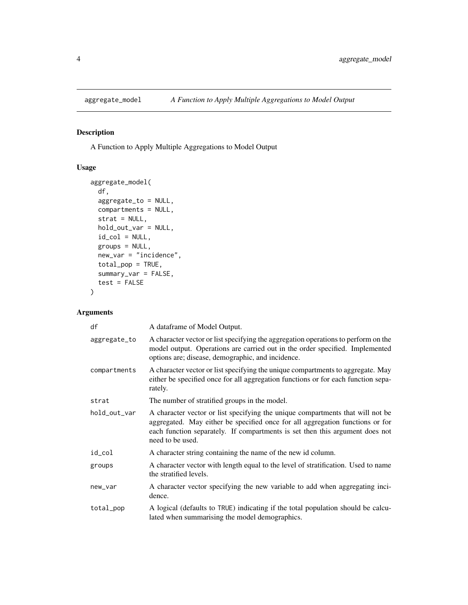<span id="page-3-0"></span>

## Description

A Function to Apply Multiple Aggregations to Model Output

## Usage

```
aggregate_model(
  df,
  aggregate_to = NULL,
 compartments = NULL,
 strat = NULL,
 hold_out_var = NULL,
  id\_col = NULL,groups = NULL,
 new_var = "incidence",
 total_pop = TRUE,
  summary_var = FALSE,
  test = FALSE)
```
## Arguments

| df           | A dataframe of Model Output.                                                                                                                                                                                                                                        |
|--------------|---------------------------------------------------------------------------------------------------------------------------------------------------------------------------------------------------------------------------------------------------------------------|
| aggregate_to | A character vector or list specifying the aggregation operations to perform on the<br>model output. Operations are carried out in the order specified. Implemented<br>options are; disease, demographic, and incidence.                                             |
| compartments | A character vector or list specifying the unique compartments to aggregate. May<br>either be specified once for all aggregation functions or for each function sepa-<br>rately.                                                                                     |
| strat        | The number of stratified groups in the model.                                                                                                                                                                                                                       |
| hold_out_var | A character vector or list specifying the unique compartments that will not be<br>aggregated. May either be specified once for all aggregation functions or for<br>each function separately. If compartments is set then this argument does not<br>need to be used. |
| id_col       | A character string containing the name of the new id column.                                                                                                                                                                                                        |
| groups       | A character vector with length equal to the level of stratification. Used to name<br>the stratified levels.                                                                                                                                                         |
| new_var      | A character vector specifying the new variable to add when aggregating inci-<br>dence.                                                                                                                                                                              |
| total_pop    | A logical (defaults to TRUE) indicating if the total population should be calcu-<br>lated when summarising the model demographics.                                                                                                                                  |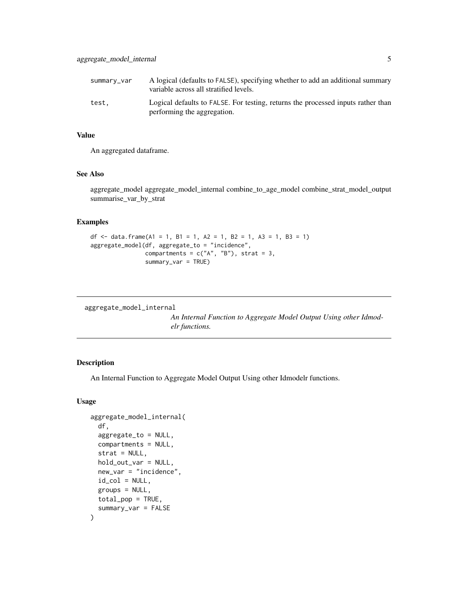<span id="page-4-0"></span>

| summary_var | A logical (defaults to FALSE), specifying whether to add an additional summary<br>variable across all stratified levels. |
|-------------|--------------------------------------------------------------------------------------------------------------------------|
| test.       | Logical defaults to FALSE. For testing, returns the processed inputs rather than<br>performing the aggregation.          |

## Value

An aggregated dataframe.

## See Also

aggregate\_model aggregate\_model\_internal combine\_to\_age\_model combine\_strat\_model\_output summarise\_var\_by\_strat

#### Examples

```
df <- data.frame(A1 = 1, B1 = 1, A2 = 1, B2 = 1, A3 = 1, B3 = 1)
aggregate_model(df, aggregate_to = "incidence",
               compartments = c("A", "B"), strat = 3,
                summary_var = TRUE)
```

```
aggregate_model_internal
```
*An Internal Function to Aggregate Model Output Using other Idmodelr functions.*

#### Description

An Internal Function to Aggregate Model Output Using other Idmodelr functions.

#### Usage

```
aggregate_model_internal(
 df,
  aggregate_to = NULL,
 compartments = NULL,
  strat = NULL,
 hold_out_var = NULL,
  new_var = "incidence",
  id\_col = NULL,groups = NULL,total_pop = TRUE,
  summary_var = FALSE
)
```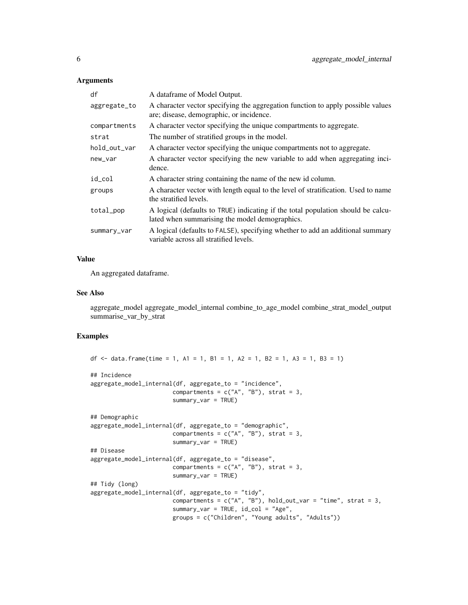#### Arguments

| df           | A dataframe of Model Output.                                                                                                       |
|--------------|------------------------------------------------------------------------------------------------------------------------------------|
| aggregate_to | A character vector specifying the aggregation function to apply possible values<br>are; disease, demographic, or incidence.        |
| compartments | A character vector specifying the unique compartments to aggregate.                                                                |
| strat        | The number of stratified groups in the model.                                                                                      |
| hold_out_var | A character vector specifying the unique compartments not to aggregate.                                                            |
| new_var      | A character vector specifying the new variable to add when aggregating inci-<br>dence.                                             |
| id_col       | A character string containing the name of the new id column.                                                                       |
| groups       | A character vector with length equal to the level of stratification. Used to name<br>the stratified levels.                        |
| total_pop    | A logical (defaults to TRUE) indicating if the total population should be calcu-<br>lated when summarising the model demographics. |
| summary_var  | A logical (defaults to FALSE), specifying whether to add an additional summary<br>variable across all stratified levels.           |

#### Value

An aggregated dataframe.

#### See Also

aggregate\_model aggregate\_model\_internal combine\_to\_age\_model combine\_strat\_model\_output summarise\_var\_by\_strat

```
df \le data.frame(time = 1, A1 = 1, B1 = 1, A2 = 1, B2 = 1, A3 = 1, B3 = 1)
## Incidence
aggregate_model_internal(df, aggregate_to = "incidence",
                        compartments = c("A", "B"), strat = 3,
                        summary_var = TRUE)
## Demographic
aggregate_model_internal(df, aggregate_to = "demographic",
                        compartments = c("A", "B"), strat = 3,
                        summary_var = TRUE)
## Disease
aggregate_model_internal(df, aggregate_to = "disease",
                        compartments = c("A", "B"), strat = 3,
                        summary_var = TRUE)
## Tidy (long)
aggregate_model_internal(df, aggregate_to = "tidy",
                        compartments = c("A", "B"), hold_out_var = "time", strat = 3,
                        summary_var = TRUE, id_col = "Age",
                        groups = c("Children", "Young adults", "Adults"))
```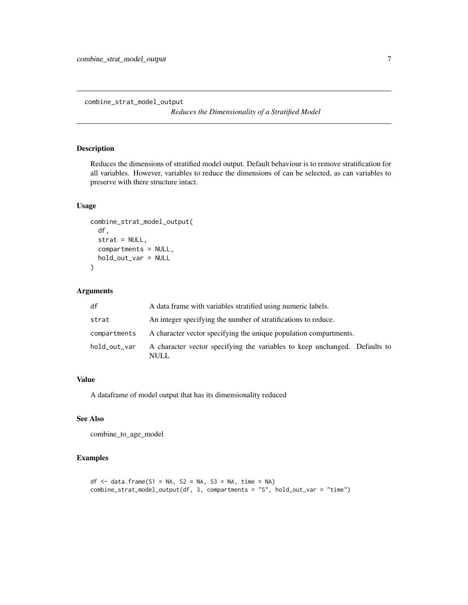<span id="page-6-1"></span><span id="page-6-0"></span>combine\_strat\_model\_output

*Reduces the Dimensionality of a Stratified Model*

## Description

Reduces the dimensions of stratified model output. Default behaviour is to remove stratification for all variables. However, variables to reduce the dimensions of can be selected, as can variables to preserve with there structure intact.

## Usage

```
combine_strat_model_output(
  df,
  strat = NULL,
  compartments = NULL,
  hold_out_var = NULL
)
```
## Arguments

| df           | A data frame with variables stratified using numeric labels.                       |
|--------------|------------------------------------------------------------------------------------|
| strat        | An integer specifying the number of stratifications to reduce.                     |
| compartments | A character vector specifying the unique population compartments.                  |
| hold_out_var | A character vector specifying the variables to keep unchanged. Defaults to<br>NULL |

## Value

A dataframe of model output that has its dimensionality reduced

## See Also

combine\_to\_age\_model

```
df <- data.frame(S1 = NA, S2 = NA, S3 = NA, time = NA)
combine_strat_model_output(df, 3, compartments = "S", hold_out_var = "time")
```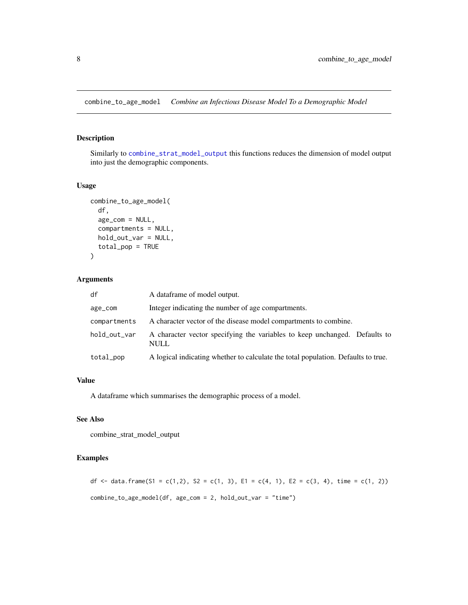<span id="page-7-0"></span>combine\_to\_age\_model *Combine an Infectious Disease Model To a Demographic Model*

## Description

Similarly to [combine\\_strat\\_model\\_output](#page-6-1) this functions reduces the dimension of model output into just the demographic components.

#### Usage

```
combine_to_age_model(
  df,
  age_com = NULL,
  compartments = NULL,
  hold_out_var = NULL,
  total_pop = TRUE
\mathcal{L}
```
## Arguments

| df           | A dataframe of model output.                                                              |
|--------------|-------------------------------------------------------------------------------------------|
| age_com      | Integer indicating the number of age compartments.                                        |
| compartments | A character vector of the disease model compartments to combine.                          |
| hold_out_var | A character vector specifying the variables to keep unchanged. Defaults to<br><b>NULL</b> |
| total_pop    | A logical indicating whether to calculate the total population. Defaults to true.         |

#### Value

A dataframe which summarises the demographic process of a model.

#### See Also

combine\_strat\_model\_output

## Examples

df <- data.frame(S1 = c(1,2), S2 = c(1, 3), E1 = c(4, 1), E2 = c(3, 4), time = c(1, 2)) combine\_to\_age\_model(df, age\_com = 2, hold\_out\_var = "time")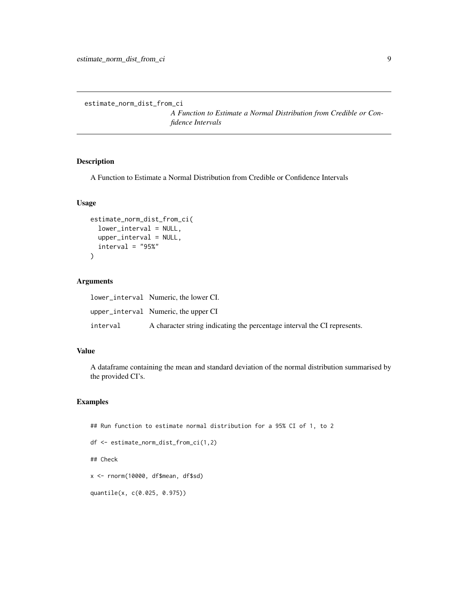<span id="page-8-0"></span>estimate\_norm\_dist\_from\_ci

*A Function to Estimate a Normal Distribution from Credible or Confidence Intervals*

#### Description

A Function to Estimate a Normal Distribution from Credible or Confidence Intervals

#### Usage

```
estimate_norm_dist_from_ci(
  lower_interval = NULL,
  upper_interval = NULL,
  interval = "95\%")
```
## Arguments

|          | lower interval Numeric the lower CI.                                     |
|----------|--------------------------------------------------------------------------|
|          | upper_interval Numeric, the upper CI                                     |
| interval | A character string indicating the percentage interval the CI represents. |

#### Value

A dataframe containing the mean and standard deviation of the normal distribution summarised by the provided CI's.

## Examples

## Run function to estimate normal distribution for a 95% CI of 1, to 2

```
df <- estimate_norm_dist_from_ci(1,2)
```
## Check

x <- rnorm(10000, df\$mean, df\$sd)

quantile(x, c(0.025, 0.975))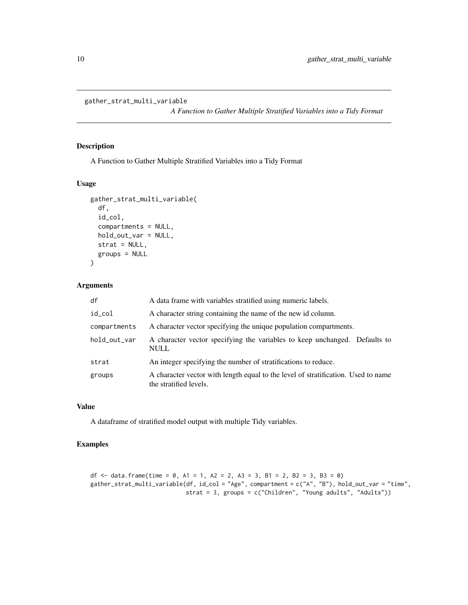```
gather_strat_multi_variable
```
*A Function to Gather Multiple Stratified Variables into a Tidy Format*

## Description

A Function to Gather Multiple Stratified Variables into a Tidy Format

#### Usage

```
gather_strat_multi_variable(
  df,
  id_col,
  compartments = NULL,
  hold_out_var = NULL,
  strat = NULL,
  groups = NULL
)
```
#### Arguments

| df           | A data frame with variables stratified using numeric labels.                                                |
|--------------|-------------------------------------------------------------------------------------------------------------|
| id_col       | A character string containing the name of the new id column.                                                |
| compartments | A character vector specifying the unique population compartments.                                           |
| hold_out_var | A character vector specifying the variables to keep unchanged. Defaults to<br><b>NULL</b>                   |
| strat        | An integer specifying the number of stratifications to reduce.                                              |
| groups       | A character vector with length equal to the level of stratification. Used to name<br>the stratified levels. |

## Value

A dataframe of stratified model output with multiple Tidy variables.

## Examples

df <- data.frame(time =  $\theta$ , A1 = 1, A2 = 2, A3 = 3, B1 = 2, B2 = 3, B3 =  $\theta$ ) gather\_strat\_multi\_variable(df, id\_col = "Age", compartment = c("A", "B"), hold\_out\_var = "time", strat = 3, groups = c("Children", "Young adults", "Adults"))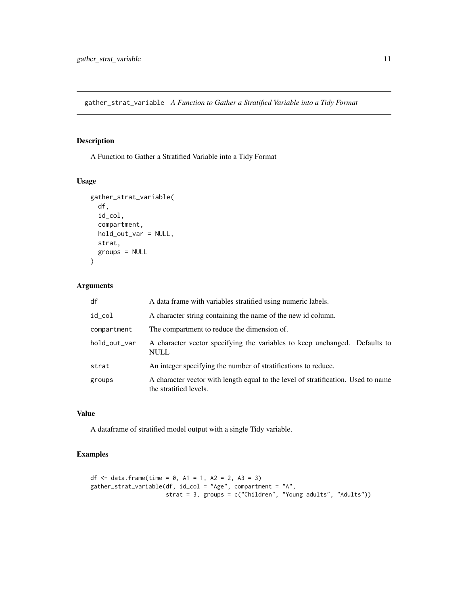<span id="page-10-0"></span>gather\_strat\_variable *A Function to Gather a Stratified Variable into a Tidy Format*

## Description

A Function to Gather a Stratified Variable into a Tidy Format

## Usage

```
gather_strat_variable(
  df,
  id_col,
  compartment,
  hold_out_var = NULL,
  strat,
  groups = NULL
\mathcal{L}
```
## Arguments

| df           | A data frame with variables stratified using numeric labels.                                                |
|--------------|-------------------------------------------------------------------------------------------------------------|
| id_col       | A character string containing the name of the new id column.                                                |
| compartment  | The compartment to reduce the dimension of.                                                                 |
| hold_out_var | A character vector specifying the variables to keep unchanged. Defaults to<br><b>NULL</b>                   |
| strat        | An integer specifying the number of stratifications to reduce.                                              |
| groups       | A character vector with length equal to the level of stratification. Used to name<br>the stratified levels. |

#### Value

A dataframe of stratified model output with a single Tidy variable.

```
df <- data.frame(time = 0, A1 = 1, A2 = 2, A3 = 3)
gather_strat_variable(df, id_col = "Age", compartment = "A",
                     strat = 3, groups = c("Children", "Young adults", "Adults"))
```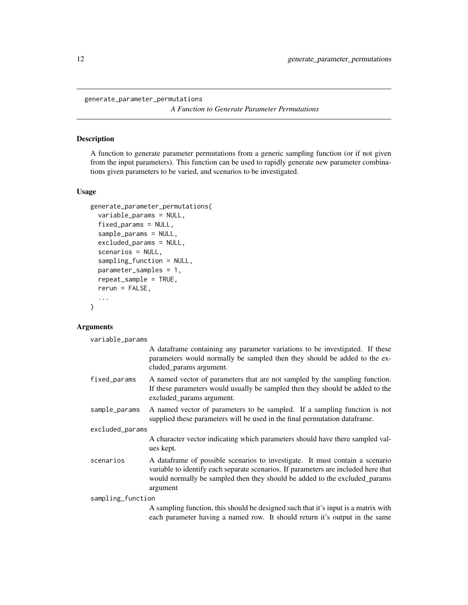<span id="page-11-1"></span><span id="page-11-0"></span>generate\_parameter\_permutations

*A Function to Generate Parameter Permutations*

## Description

A function to generate parameter permutations from a generic sampling function (or if not given from the input parameters). This function can be used to rapidly generate new parameter combinations given parameters to be varied, and scenarios to be investigated.

#### Usage

```
generate_parameter_permutations(
  variable_params = NULL,
  fixed_params = NULL,
  sample_params = NULL,
  excluded_params = NULL,
  scenarios = NULL,
  sampling_function = NULL,
  parameter_samples = 1,
  repeat_sample = TRUE,
  rerun = FALSE,
  ...
\mathcal{L}
```
## Arguments

variable\_params

|                   | A dataframe containing any parameter variations to be investigated. If these<br>parameters would normally be sampled then they should be added to the ex-<br>cluded_params argument.                                                                         |  |
|-------------------|--------------------------------------------------------------------------------------------------------------------------------------------------------------------------------------------------------------------------------------------------------------|--|
| fixed_params      | A named vector of parameters that are not sampled by the sampling function.<br>If these parameters would usually be sampled then they should be added to the<br>excluded_params argument.                                                                    |  |
| sample_params     | A named vector of parameters to be sampled. If a sampling function is not<br>supplied these parameters will be used in the final permutation dataframe.                                                                                                      |  |
| excluded_params   |                                                                                                                                                                                                                                                              |  |
|                   | A character vector indicating which parameters should have there sampled val-<br>ues kept.                                                                                                                                                                   |  |
| scenarios         | A dataframe of possible scenarios to investigate. It must contain a scenario<br>variable to identify each separate scenarios. If parameters are included here that<br>would normally be sampled then they should be added to the excluded params<br>argument |  |
| sampling_function |                                                                                                                                                                                                                                                              |  |
|                   | A sampling function, this should be designed such that it's input is a matrix with<br>each parameter having a named row. It should return it's output in the same                                                                                            |  |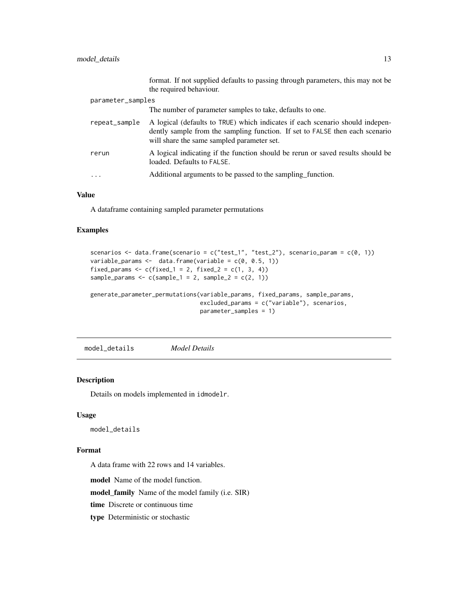## <span id="page-12-0"></span>model\_details 13

|                   |               | format. If not supplied defaults to passing through parameters, this may not be<br>the required behaviour.                                                                                                  |
|-------------------|---------------|-------------------------------------------------------------------------------------------------------------------------------------------------------------------------------------------------------------|
| parameter_samples |               |                                                                                                                                                                                                             |
|                   |               | The number of parameter samples to take, defaults to one.                                                                                                                                                   |
|                   | repeat_sample | A logical (defaults to TRUE) which indicates if each scenario should indepen-<br>dently sample from the sampling function. If set to FALSE then each scenario<br>will share the same sampled parameter set. |
|                   | rerun         | A logical indicating if the function should be rerun or saved results should be<br>loaded. Defaults to FALSE.                                                                                               |
|                   | .             | Additional arguments to be passed to the sampling function.                                                                                                                                                 |

#### Value

A dataframe containing sampled parameter permutations

#### Examples

```
scenarios <- data.frame(scenario = c("test_1", "test_2"), scenario_param = c(0, 1))
variable_params <- data.frame(variable = c(\theta, \theta.5, 1))
fixed_params \leq c (fixed_1 = 2, fixed_2 = c(1, 3, 4))
sample_params <- c(sample_1 = 2, sample_2 = c(2, 1))
generate_parameter_permutations(variable_params, fixed_params, sample_params,
                                 excluded_params = c("variable"), scenarios,
```

```
parameter_samples = 1)
```
<span id="page-12-1"></span>model\_details *Model Details*

#### Description

Details on models implemented in idmodelr.

#### Usage

model\_details

#### Format

A data frame with 22 rows and 14 variables.

model Name of the model function.

model\_family Name of the model family (i.e. SIR)

time Discrete or continuous time

type Deterministic or stochastic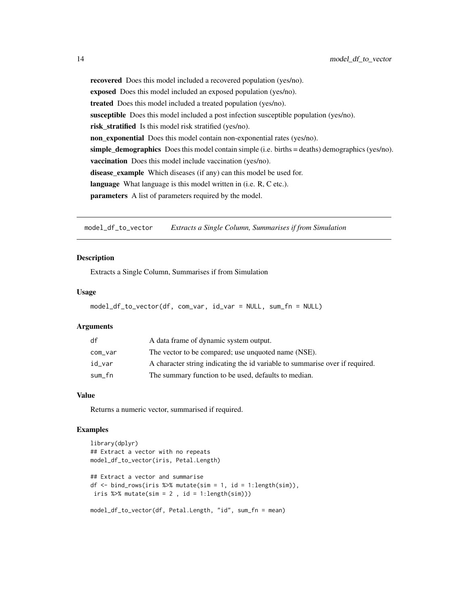recovered Does this model included a recovered population (yes/no). exposed Does this model included an exposed population (yes/no). treated Does this model included a treated population (yes/no). susceptible Does this model included a post infection susceptible population (yes/no). risk\_stratified Is this model risk stratified (yes/no). non\_exponential Does this model contain non-exponential rates (yes/no). simple\_demographics Does this model contain simple (i.e. births  $=$  deaths) demographics (yes/no). vaccination Does this model include vaccination (yes/no). disease\_example Which diseases (if any) can this model be used for. language What language is this model written in (i.e. R, C etc.). parameters A list of parameters required by the model.

model\_df\_to\_vector *Extracts a Single Column, Summarises if from Simulation*

#### **Description**

Extracts a Single Column, Summarises if from Simulation

#### Usage

```
model_df_to_vector(df, com_var, id_var = NULL, sum_fn = NULL)
```
#### Arguments

| df      | A data frame of dynamic system output.                                       |
|---------|------------------------------------------------------------------------------|
| com_var | The vector to be compared; use unquoted name (NSE).                          |
| id var  | A character string indicating the id variable to summarise over if required. |
| sum_fn  | The summary function to be used, defaults to median.                         |

## Value

Returns a numeric vector, summarised if required.

```
library(dplyr)
## Extract a vector with no repeats
model_df_to_vector(iris, Petal.Length)
## Extract a vector and summarise
df \le bind_rows(iris %>% mutate(sim = 1, id = 1:length(sim)),
iris %>% mutate(sim = 2, id = 1:length(sim)))
model_df_to_vector(df, Petal.Length, "id", sum_fn = mean)
```
<span id="page-13-0"></span>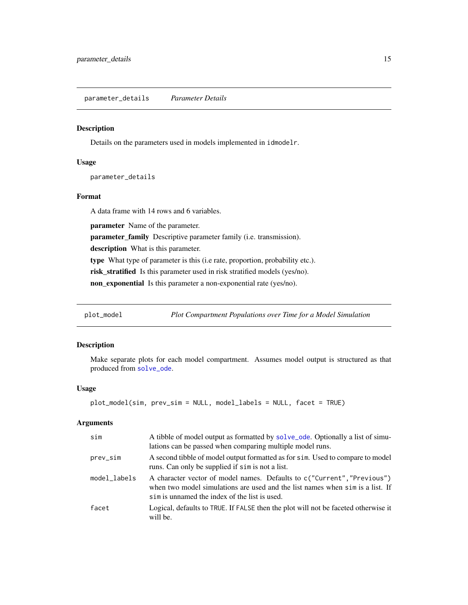<span id="page-14-1"></span><span id="page-14-0"></span>parameter\_details *Parameter Details*

#### Description

Details on the parameters used in models implemented in idmodelr.

#### Usage

parameter\_details

#### Format

A data frame with 14 rows and 6 variables.

parameter Name of the parameter.

parameter\_family Descriptive parameter family (i.e. transmission).

description What is this parameter.

type What type of parameter is this (i.e rate, proportion, probability etc.).

risk\_stratified Is this parameter used in risk stratified models (yes/no).

non\_exponential Is this parameter a non-exponential rate (yes/no).

plot\_model *Plot Compartment Populations over Time for a Model Simulation*

## Description

Make separate plots for each model compartment. Assumes model output is structured as that produced from [solve\\_ode](#page-43-1).

#### Usage

```
plot_model(sim, prev_sim = NULL, model_labels = NULL, facet = TRUE)
```
#### Arguments

| sim          | A tibble of model output as formatted by solve_ode. Optionally a list of simu-<br>lations can be passed when comparing multiple model runs.                                                               |
|--------------|-----------------------------------------------------------------------------------------------------------------------------------------------------------------------------------------------------------|
| prev_sim     | A second tibble of model output formatted as for sim. Used to compare to model<br>runs. Can only be supplied if sim is not a list.                                                                        |
| model_labels | A character vector of model names. Defaults to c("Current", "Previous")<br>when two model simulations are used and the list names when sim is a list. If<br>sim is unnamed the index of the list is used. |
| facet        | Logical, defaults to TRUE. If FALSE then the plot will not be faceted otherwise it<br>will be.                                                                                                            |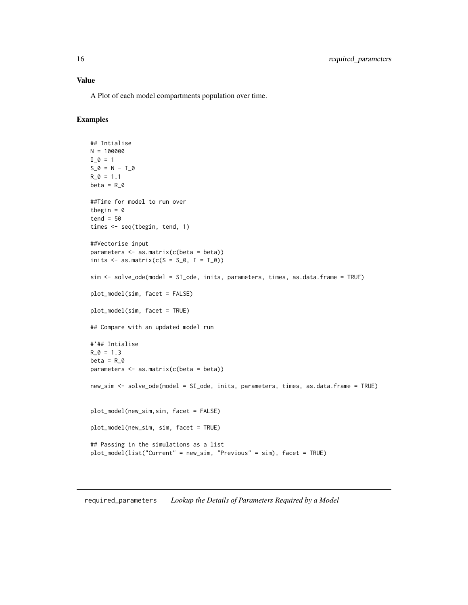<span id="page-15-0"></span>A Plot of each model compartments population over time.

### Examples

```
## Intialise
N = 100000
I_0 = 1S_0 = N - I_0R_0 = 1.1beta = R_0##Time for model to run over
tbegin = \thetatend = 50times <- seq(tbegin, tend, 1)
##Vectorise input
parameters <- as.matrix(c(beta = beta))
inits \leq as.matrix(c(S = S_0, I = I_0))
sim <- solve_ode(model = SI_ode, inits, parameters, times, as.data.frame = TRUE)
plot_model(sim, facet = FALSE)
plot_model(sim, facet = TRUE)
## Compare with an updated model run
#'## Intialise
R_0 = 1.3beta = R_0parameters <- as.matrix(c(beta = beta))
new_sim <- solve_ode(model = SI_ode, inits, parameters, times, as.data.frame = TRUE)
plot_model(new_sim,sim, facet = FALSE)
plot_model(new_sim, sim, facet = TRUE)
## Passing in the simulations as a list
plot_model(list("Current" = new_sim, "Previous" = sim), facet = TRUE)
```
required\_parameters *Lookup the Details of Parameters Required by a Model*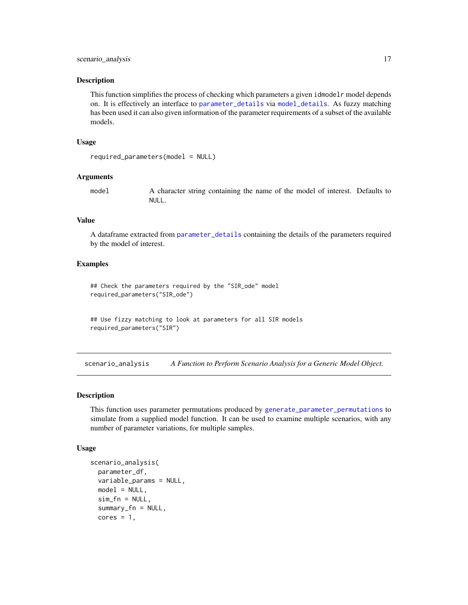#### <span id="page-16-0"></span>**Description**

This function simplifies the process of checking which parameters a given idmodelr model depends on. It is effectively an interface to [parameter\\_details](#page-14-1) via [model\\_details](#page-12-1). As fuzzy matching has been used it can also given information of the parameter requirements of a subset of the available models.

#### Usage

```
required_parameters(model = NULL)
```
#### Arguments

model A character string containing the name of the model of interest. Defaults to NULL.

## Value

A dataframe extracted from [parameter\\_details](#page-14-1) containing the details of the parameters required by the model of interest.

#### Examples

## Check the parameters required by the "SIR\_ode" model required\_parameters("SIR\_ode")

```
## Use fizzy matching to look at parameters for all SIR models
required_parameters("SIR")
```
scenario\_analysis *A Function to Perform Scenario Analysis for a Generic Model Object.*

#### Description

This function uses parameter permutations produced by [generate\\_parameter\\_permutations](#page-11-1) to simulate from a supplied model function. It can be used to examine multiple scenarios, with any number of parameter variations, for multiple samples.

#### Usage

```
scenario_analysis(
  parameter_df,
  variable_params = NULL,
 model = NULL,sim_f n = NULL,summary_fn = NULL,
  cores = 1,
```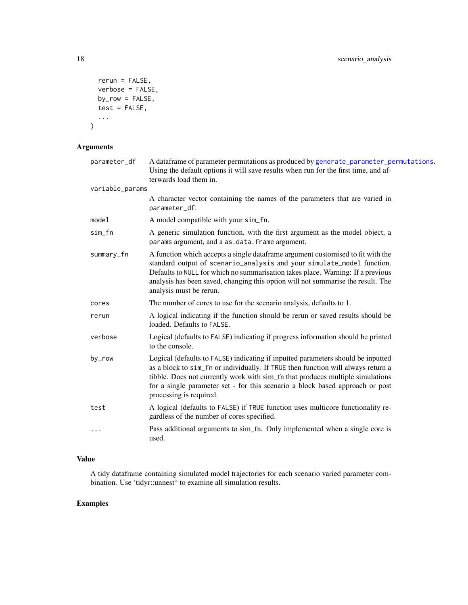```
rerun = FALSE,
  verbose = FALSE,
  by_row = FALSE,
  test = FALSE,
  ...
\mathcal{L}
```
## Arguments

| parameter_df    | A dataframe of parameter permutations as produced by generate_parameter_permutations.<br>Using the default options it will save results when run for the first time, and af-<br>terwards load them in.                                                                                                                                                             |
|-----------------|--------------------------------------------------------------------------------------------------------------------------------------------------------------------------------------------------------------------------------------------------------------------------------------------------------------------------------------------------------------------|
| variable_params |                                                                                                                                                                                                                                                                                                                                                                    |
|                 | A character vector containing the names of the parameters that are varied in<br>parameter_df.                                                                                                                                                                                                                                                                      |
| model           | A model compatible with your sim_fn.                                                                                                                                                                                                                                                                                                                               |
| sim_fn          | A generic simulation function, with the first argument as the model object, a<br>params argument, and a as . data. frame argument.                                                                                                                                                                                                                                 |
| summary_fn      | A function which accepts a single dataframe argument customised to fit with the<br>standard output of scenario_analysis and your simulate_model function.<br>Defaults to NULL for which no summarisation takes place. Warning: If a previous<br>analysis has been saved, changing this option will not summarise the result. The<br>analysis must be rerun.        |
| cores           | The number of cores to use for the scenario analysis, defaults to 1.                                                                                                                                                                                                                                                                                               |
| rerun           | A logical indicating if the function should be rerun or saved results should be<br>loaded. Defaults to FALSE.                                                                                                                                                                                                                                                      |
| verbose         | Logical (defaults to FALSE) indicating if progress information should be printed<br>to the console.                                                                                                                                                                                                                                                                |
| by_row          | Logical (defaults to FALSE) indicating if inputted parameters should be inputted<br>as a block to sim_fn or individually. If TRUE then function will always return a<br>tibble. Does not currently work with sim_fn that produces multiple simulations<br>for a single parameter set - for this scenario a block based approach or post<br>processing is required. |
| test            | A logical (defaults to FALSE) if TRUE function uses multicore functionality re-<br>gardless of the number of cores specified.                                                                                                                                                                                                                                      |
| $\cdots$        | Pass additional arguments to sim_fn. Only implemented when a single core is<br>used.                                                                                                                                                                                                                                                                               |

## Value

A tidy dataframe containing simulated model trajectories for each scenario varied parameter combination. Use 'tidyr::unnest" to examine all simulation results.

<span id="page-17-0"></span>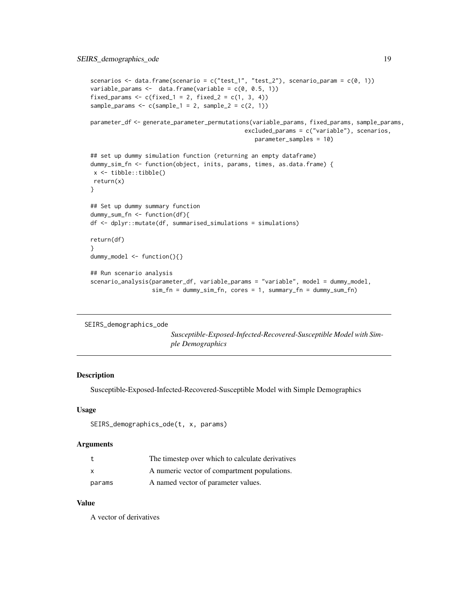```
scenarios <- data.frame(scenario = c("test_1", "test_2"), scenario_param = c(\emptyset, 1))
variable_params <- data.frame(variable = c(\theta, \theta.5, 1))
fixed_params <- c(fixed_1 = 2, fixed_2 = c(1, 3, 4))
sample_params \leq c(sample_1 = 2, sample_2 = c(2, 1))
parameter_df <- generate_parameter_permutations(variable_params, fixed_params, sample_params,
                                              excluded_params = c("variable"), scenarios,
                                                 parameter_samples = 10)
## set up dummy simulation function (returning an empty dataframe)
dummy_sim_fn <- function(object, inits, params, times, as.data.frame) {
x <- tibble::tibble()
return(x)
}
## Set up dummy summary function
dummy_sum_fn <- function(df){
df <- dplyr::mutate(df, summarised_simulations = simulations)
return(df)
}
dummy_model <- function(){}
## Run scenario analysis
scenario_analysis(parameter_df, variable_params = "variable", model = dummy_model,
                  sim_fn = dummy_sim_fn, cores = 1, summary_fn = dummy_sum_fn)
```

```
SEIRS_demographics_ode
```
*Susceptible-Exposed-Infected-Recovered-Susceptible Model with Simple Demographics*

#### Description

Susceptible-Exposed-Infected-Recovered-Susceptible Model with Simple Demographics

#### Usage

```
SEIRS_demographics_ode(t, x, params)
```
#### Arguments

|              | The timestep over which to calculate derivatives |
|--------------|--------------------------------------------------|
| $\mathsf{x}$ | A numeric vector of compartment populations.     |
| params       | A named vector of parameter values.              |

#### Value

A vector of derivatives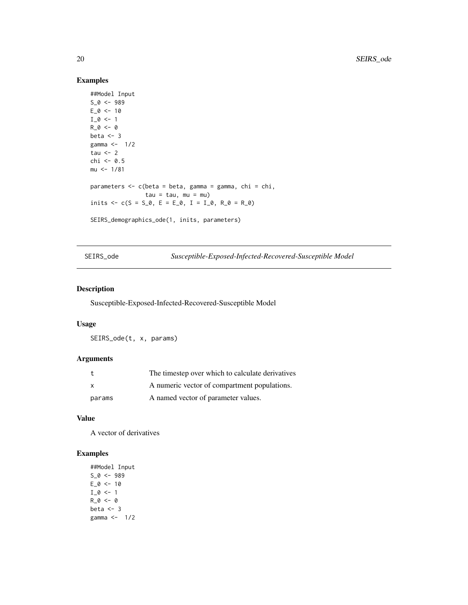## Examples

```
##Model Input
S_0 < -989E_0 < -10I_0 \leftarrow 1R_0 < -0beta <-3gamma <- 1/2
tau <-2chi <- 0.5
mu <- 1/81
parameters <- c(beta = beta, gamma = gamma, chi = chi,
               tau = tau, mu = mu)inits \leq -c(S = S_0, E = E_0, I = I_0, R_0 = R_0)SEIRS_demographics_ode(1, inits, parameters)
```
SEIRS\_ode *Susceptible-Exposed-Infected-Recovered-Susceptible Model*

#### Description

Susceptible-Exposed-Infected-Recovered-Susceptible Model

#### Usage

SEIRS\_ode(t, x, params)

#### Arguments

|              | The timestep over which to calculate derivatives |
|--------------|--------------------------------------------------|
| $\mathsf{x}$ | A numeric vector of compartment populations.     |
| params       | A named vector of parameter values.              |

## Value

A vector of derivatives

```
##Model Input
S_0 < -989E_0 < - 10I_0 \leftarrow 1R_0 < -0beta <-3gamma <- 1/2
```
<span id="page-19-0"></span>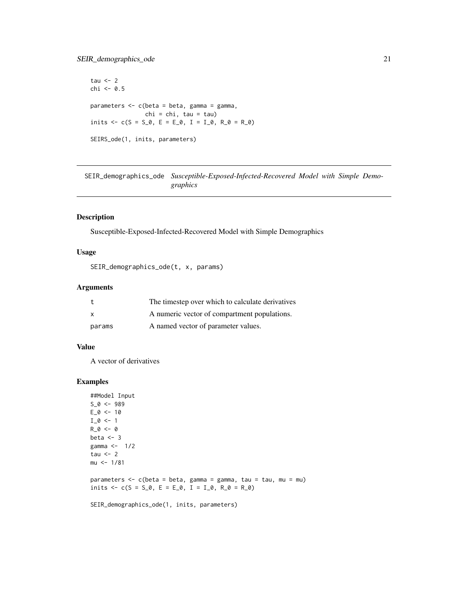## <span id="page-20-0"></span>SEIR\_demographics\_ode 21

```
tau <-2chi <- 0.5
parameters \leq c(beta = beta, gamma = gamma,
               chi = chi, tau = tau)
inits \leq -c(S = S_0, E = E_0, I = I_0, R_0 = R_0)SEIRS_ode(1, inits, parameters)
```
SEIR\_demographics\_ode *Susceptible-Exposed-Infected-Recovered Model with Simple Demographics*

#### Description

Susceptible-Exposed-Infected-Recovered Model with Simple Demographics

## Usage

```
SEIR_demographics_ode(t, x, params)
```
#### Arguments

|              | The timestep over which to calculate derivatives |
|--------------|--------------------------------------------------|
| $\mathbf{x}$ | A numeric vector of compartment populations.     |
| params       | A named vector of parameter values.              |

#### Value

A vector of derivatives

```
##Model Input
S_0 < -989E_0 < -10I_0 \leftarrow 1R_0 < -0beta <-3gamma <- 1/2
tau <-2mu <- 1/81
parameters <- c(beta = beta, gamma = gamma, tau = tau, mu = mu)
inits \leq -c(S = S_0, E = E_0, I = I_0, R_0 = R_0)
```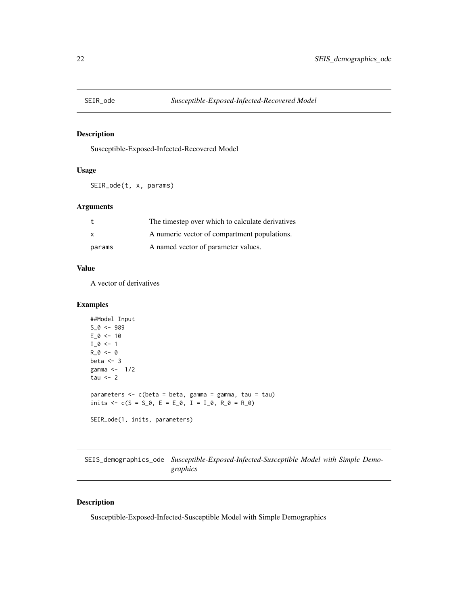<span id="page-21-0"></span>

## Description

Susceptible-Exposed-Infected-Recovered Model

## Usage

SEIR\_ode(t, x, params)

## Arguments

|        | The timestep over which to calculate derivatives |
|--------|--------------------------------------------------|
|        | A numeric vector of compartment populations.     |
| params | A named vector of parameter values.              |

#### Value

A vector of derivatives

#### Examples

```
##Model Input
S_0 < -989E_0 < -10I_0 \leftarrow 1R_0 < -0beta <-3gamma <-1/2tau <-2parameters <- c(beta = beta, gamma = gamma, tau = tau)
inits \leq -c(S = S_0, E = E_0, I = I_0, R_0 = R_0)SEIR_ode(1, inits, parameters)
```
SEIS\_demographics\_ode *Susceptible-Exposed-Infected-Susceptible Model with Simple Demographics*

## Description

Susceptible-Exposed-Infected-Susceptible Model with Simple Demographics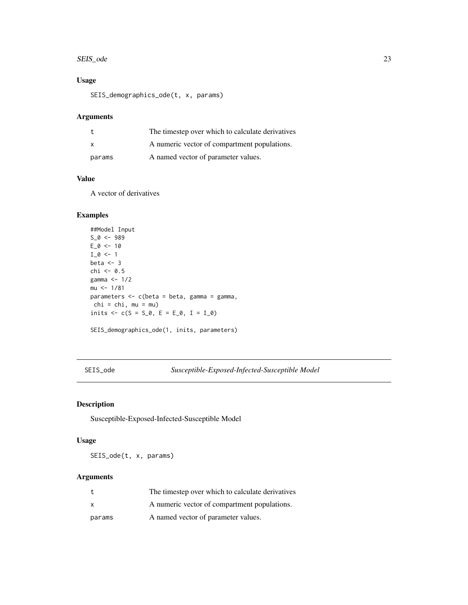#### <span id="page-22-0"></span>SEIS\_ode 23

## Usage

SEIS\_demographics\_ode(t, x, params)

#### Arguments

|              | The timestep over which to calculate derivatives |
|--------------|--------------------------------------------------|
| $\mathsf{x}$ | A numeric vector of compartment populations.     |
| params       | A named vector of parameter values.              |

## Value

A vector of derivatives

## Examples

```
##Model Input
S_0 < -989E_0 < -10I_0 \leftarrow 1beta <-3chi <-0.5gamma <- 1/2
mu <- 1/81
parameters <- c(beta = beta, gamma = gamma,
chi = chi, mu = mu)inits <-c(S = S_0, E = E_0, I = I_0)SEIS_demographics_ode(1, inits, parameters)
```
SEIS\_ode *Susceptible-Exposed-Infected-Susceptible Model*

## Description

Susceptible-Exposed-Infected-Susceptible Model

## Usage

SEIS\_ode(t, x, params)

### Arguments

| t      | The timestep over which to calculate derivatives |
|--------|--------------------------------------------------|
| X      | A numeric vector of compartment populations.     |
| params | A named vector of parameter values.              |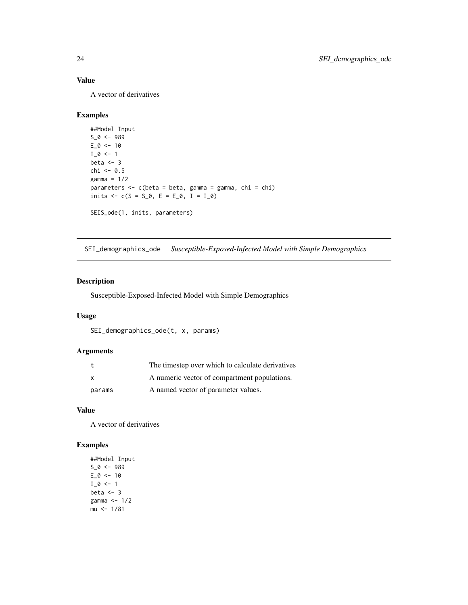## Value

A vector of derivatives

#### Examples

```
##Model Input
S_0 < -989E_0 < -10I_0 \leftarrow 1beta <-3chi <- 0.5
gamma = 1/2parameters \leq c(beta = beta, gamma = gamma, chi = chi)
inits <-c(S = S_0, E = E_0, I = I_0)SEIS_ode(1, inits, parameters)
```
SEI\_demographics\_ode *Susceptible-Exposed-Infected Model with Simple Demographics*

## Description

Susceptible-Exposed-Infected Model with Simple Demographics

## Usage

SEI\_demographics\_ode(t, x, params)

## Arguments

|        | The timestep over which to calculate derivatives |
|--------|--------------------------------------------------|
| x      | A numeric vector of compartment populations.     |
| params | A named vector of parameter values.              |

#### Value

A vector of derivatives

```
##Model Input
S_0 < -989E_0 < -10I_0 \leftarrow 1beta <-3gamma <- 1/2
mu < -1/81
```
<span id="page-23-0"></span>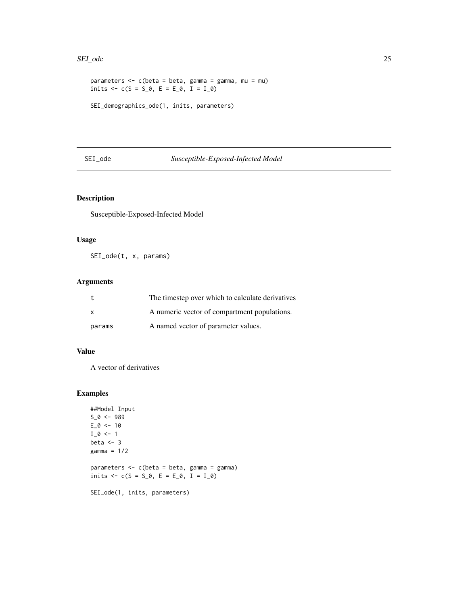#### <span id="page-24-0"></span>SEI\_ode 25

```
parameters \leq c(beta = beta, gamma = gamma, mu = mu)
inits \leq c(S = S_0, E = E_0, I = I_0)
SEI_demographics_ode(1, inits, parameters)
```
## SEI\_ode *Susceptible-Exposed-Infected Model*

## Description

Susceptible-Exposed-Infected Model

## Usage

SEI\_ode(t, x, params)

## Arguments

|              | The timestep over which to calculate derivatives |
|--------------|--------------------------------------------------|
| $\mathsf{x}$ | A numeric vector of compartment populations.     |
| params       | A named vector of parameter values.              |

## Value

A vector of derivatives

```
##Model Input
S_0 < -989E_0 < -10I_0 < -1beta <-3gamma = 1/2
parameters <- c(beta = beta, gamma = gamma)
inits \leq -c(S = S_0, E = E_0, I = I_0)SEI_ode(1, inits, parameters)
```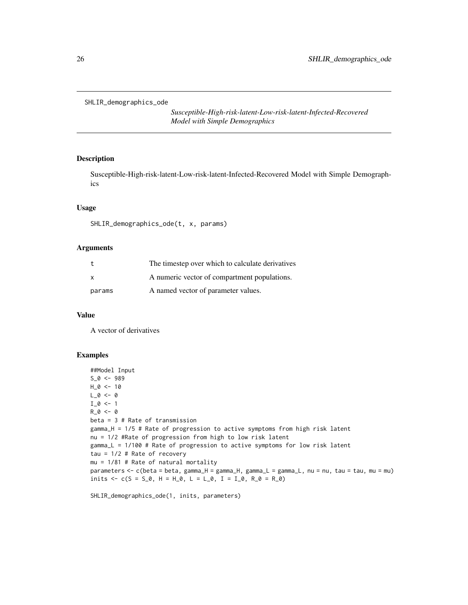<span id="page-25-0"></span>SHLIR\_demographics\_ode

*Susceptible-High-risk-latent-Low-risk-latent-Infected-Recovered Model with Simple Demographics*

## Description

Susceptible-High-risk-latent-Low-risk-latent-Infected-Recovered Model with Simple Demographics

#### Usage

SHLIR\_demographics\_ode(t, x, params)

## Arguments

| t      | The timestep over which to calculate derivatives |
|--------|--------------------------------------------------|
| x      | A numeric vector of compartment populations.     |
| params | A named vector of parameter values.              |

#### Value

A vector of derivatives

#### Examples

```
##Model Input
S_0 < -989H_0 < -10L_0 < -0I_0 \leftarrow 1R_0 < -0beta = 3 # Rate of transmission
gamma_H = 1/5 # Rate of progression to active symptoms from high risk latent
nu = 1/2 #Rate of progression from high to low risk latent
gamma_L = 1/100 # Rate of progression to active symptoms for low risk latent
tau = 1/2 # Rate of recovery
mu = 1/81 # Rate of natural mortality
parameters <- c(beta = beta, gamma_H = gamma_H, gamma_L = gamma_L, nu = nu, tau = tau, mu = mu)
inits <- c(S = S_0, H = H_0, L = L_0, I = I_0, R_0 = R_0)
```
SHLIR\_demographics\_ode(1, inits, parameters)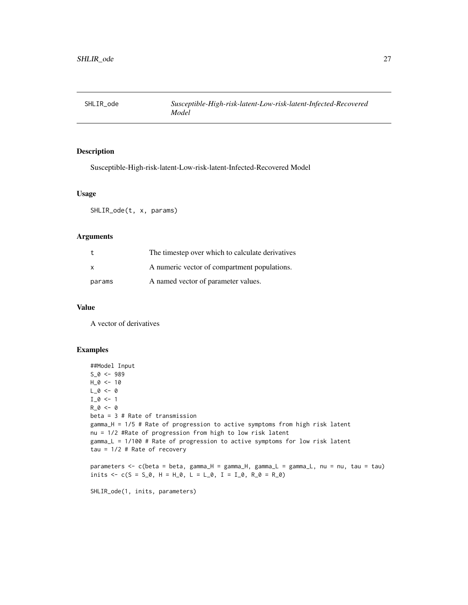<span id="page-26-0"></span>

## Description

Susceptible-High-risk-latent-Low-risk-latent-Infected-Recovered Model

## Usage

SHLIR\_ode(t, x, params)

## Arguments

|              | The timestep over which to calculate derivatives |
|--------------|--------------------------------------------------|
| $\mathsf{x}$ | A numeric vector of compartment populations.     |
| params       | A named vector of parameter values.              |

## Value

A vector of derivatives

## Examples

```
##Model Input
S_0 < -989H_0 < - 10L_0 < -0I_0 \leftarrow 1R_0 < -0beta = 3 # Rate of transmission
gamma_H = 1/5 # Rate of progression to active symptoms from high risk latent
nu = 1/2 #Rate of progression from high to low risk latent
gamma_L = 1/100 # Rate of progression to active symptoms for low risk latent
tau = 1/2 # Rate of recovery
parameters <- c(beta = beta, gamma_H = gamma_H, gamma_L = gamma_L, nu = nu, tau = tau)
```
inits  $\leq -c(S = S_0, H = H_0, L = L_0, I = I_0, R_0 = R_0)$ 

SHLIR\_ode(1, inits, parameters)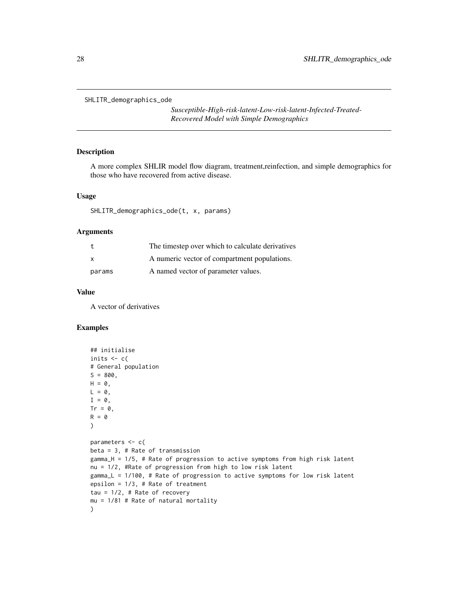<span id="page-27-0"></span>SHLITR\_demographics\_ode

*Susceptible-High-risk-latent-Low-risk-latent-Infected-Treated-Recovered Model with Simple Demographics*

## Description

A more complex SHLIR model flow diagram, treatment,reinfection, and simple demographics for those who have recovered from active disease.

#### Usage

```
SHLITR_demographics_ode(t, x, params)
```
#### Arguments

|              | The timestep over which to calculate derivatives |
|--------------|--------------------------------------------------|
| $\mathsf{x}$ | A numeric vector of compartment populations.     |
| params       | A named vector of parameter values.              |

#### Value

A vector of derivatives

```
## initialise
inits <-c(# General population
S = 800,H = 0,
L = 0,
I = 0,
Tr = 0,
R = 0\mathcal{L}parameters <- c(
beta = 3, # Rate of transmission
gamma_H = 1/5, # Rate of progression to active symptoms from high risk latent
nu = 1/2, #Rate of progression from high to low risk latent
gamma_L = 1/100, # Rate of progression to active symptoms for low risk latent
epsilon = 1/3, # Rate of treatment
tau = 1/2, # Rate of recovery
mu = 1/81 # Rate of natural mortality
\mathcal{L}
```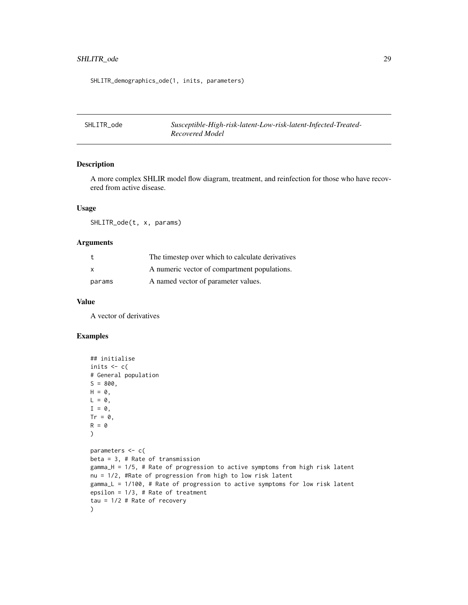## <span id="page-28-0"></span>SHLITR\_ode 29

SHLITR\_demographics\_ode(1, inits, parameters)

SHLITR\_ode *Susceptible-High-risk-latent-Low-risk-latent-Infected-Treated-Recovered Model*

## Description

A more complex SHLIR model flow diagram, treatment, and reinfection for those who have recovered from active disease.

## Usage

SHLITR\_ode(t, x, params)

#### Arguments

|        | The timestep over which to calculate derivatives |
|--------|--------------------------------------------------|
| X      | A numeric vector of compartment populations.     |
| params | A named vector of parameter values.              |

#### Value

A vector of derivatives

```
## initialise
inits <-c(# General population
S = 800.
H = 0,
L = 0,
I = \emptyset,
Tr = 0,
R = 0\mathcal{L}parameters <- c(
beta = 3, # Rate of transmission
gamma_H = 1/5, # Rate of progression to active symptoms from high risk latent
nu = 1/2, #Rate of progression from high to low risk latent
gamma_L = 1/100, # Rate of progression to active symptoms for low risk latent
epsilon = 1/3, # Rate of treatment
tau = 1/2 # Rate of recovery
\mathcal{L}
```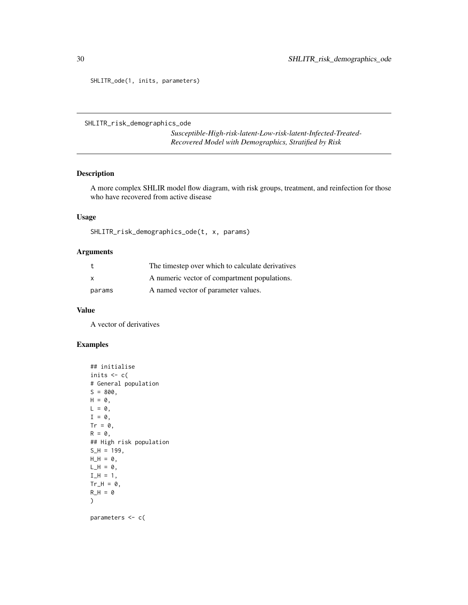SHLITR\_ode(1, inits, parameters)

```
SHLITR_risk_demographics_ode
```
*Susceptible-High-risk-latent-Low-risk-latent-Infected-Treated-Recovered Model with Demographics, Stratified by Risk*

#### Description

A more complex SHLIR model flow diagram, with risk groups, treatment, and reinfection for those who have recovered from active disease

#### Usage

SHLITR\_risk\_demographics\_ode(t, x, params)

## Arguments

| t      | The timestep over which to calculate derivatives |
|--------|--------------------------------------------------|
| X      | A numeric vector of compartment populations.     |
| params | A named vector of parameter values.              |

#### Value

A vector of derivatives

## Examples

```
## initialise
inits <-c(# General population
S = 800,
H = 0,
L = 0,
I = \emptyset,
Tr = 0,
R = 0,
## High risk population
S_H = 199,
H_H = 0,
L_H = 0,
I_H = 1,
Tr_H = 0,
R_H = 0)
```
parameters <- c(

<span id="page-29-0"></span>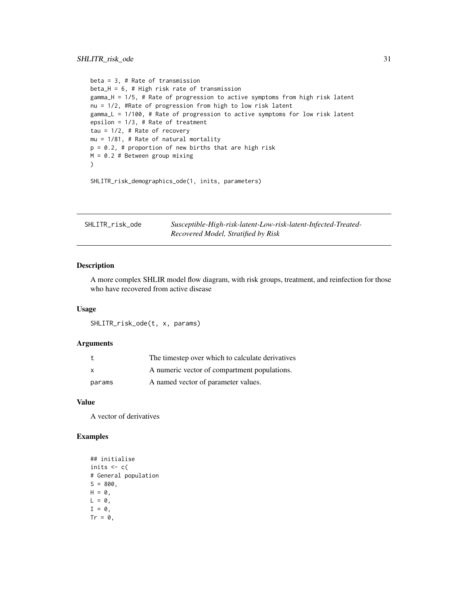```
beta = 3, # Rate of transmission
beta_H = 6, # High risk rate of transmission
gamma_H = 1/5, # Rate of progression to active symptoms from high risk latent
nu = 1/2, #Rate of progression from high to low risk latent
gamma_L = 1/100, # Rate of progression to active symptoms for low risk latent
epsilon = 1/3, # Rate of treatment
tau = 1/2, # Rate of recovery
mu = 1/81, # Rate of natural mortality
p = 0.2, # proportion of new births that are high risk
M = 0.2 # Between group mixing
)
```
SHLITR\_risk\_demographics\_ode(1, inits, parameters)

| SHLITR_risk_ode | Susceptible-High-risk-latent-Low-risk-latent-Infected-Treated- |
|-----------------|----------------------------------------------------------------|
|                 | Recovered Model, Stratified by Risk                            |

## Description

A more complex SHLIR model flow diagram, with risk groups, treatment, and reinfection for those who have recovered from active disease

#### Usage

SHLITR\_risk\_ode(t, x, params)

#### Arguments

| t            | The timestep over which to calculate derivatives |
|--------------|--------------------------------------------------|
| $\mathsf{x}$ | A numeric vector of compartment populations.     |
| params       | A named vector of parameter values.              |

#### Value

A vector of derivatives

```
## initialise
inits <-c(# General population
S = 800,H = 0,
L = 0,
I = \emptyset,
Tr = 0,
```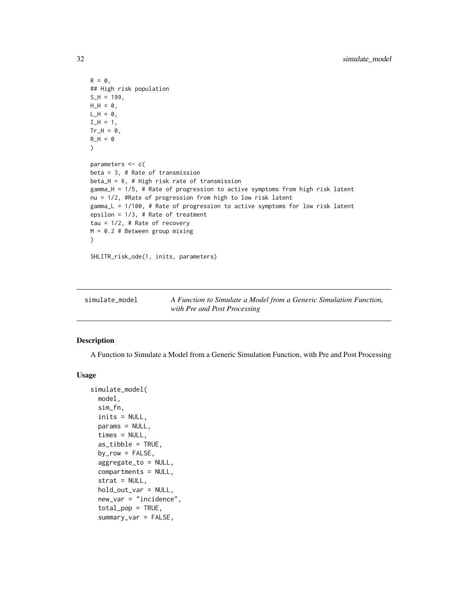```
R = 0,
## High risk population
S_H = 199,
H_H = 0,
L_H = 0,
I_H = 1,
Tr_H = 0,
R_H = 0\lambdaparameters <- c(
beta = 3, # Rate of transmission
beta_H = 6, # High risk rate of transmission
gamma_H = 1/5, # Rate of progression to active symptoms from high risk latent
nu = 1/2, #Rate of progression from high to low risk latent
gamma_L = 1/100, # Rate of progression to active symptoms for low risk latent
epsilon = 1/3, # Rate of treatment
tau = 1/2, # Rate of recovery
M = 0.2 # Between group mixing
\mathcal{L}SHLITR_risk_ode(1, inits, parameters)
```

| simulate_model |
|----------------|
|----------------|

simulate\_model *A Function to Simulate a Model from a Generic Simulation Function, with Pre and Post Processing*

#### Description

A Function to Simulate a Model from a Generic Simulation Function, with Pre and Post Processing

#### Usage

```
simulate_model(
 model,
  sim_fn,
  inits = NULL,
  params = NULL,
  times = NULL,
  as_tibble = TRUE,
  by_{row} = FALSE,aggregate_to = NULL,
  compartments = NULL,
  strat = NULL,
  hold_out_var = NULL,
  new_var = "incidence",
  total_pop = TRUE,
  summary_var = FALSE,
```
<span id="page-31-0"></span>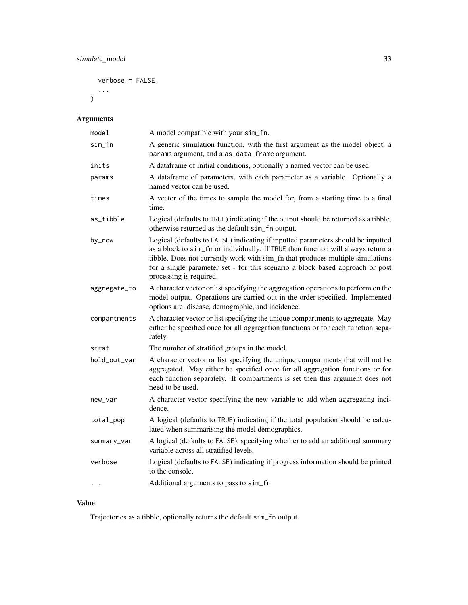verbose = FALSE,

...  $\overline{\phantom{a}}$ 

## Arguments

| model        | A model compatible with your sim_fn.                                                                                                                                                                                                                                                                                                                               |
|--------------|--------------------------------------------------------------------------------------------------------------------------------------------------------------------------------------------------------------------------------------------------------------------------------------------------------------------------------------------------------------------|
| sim_fn       | A generic simulation function, with the first argument as the model object, a<br>params argument, and a as . data. frame argument.                                                                                                                                                                                                                                 |
| inits        | A dataframe of initial conditions, optionally a named vector can be used.                                                                                                                                                                                                                                                                                          |
| params       | A dataframe of parameters, with each parameter as a variable. Optionally a<br>named vector can be used.                                                                                                                                                                                                                                                            |
| times        | A vector of the times to sample the model for, from a starting time to a final<br>time.                                                                                                                                                                                                                                                                            |
| as_tibble    | Logical (defaults to TRUE) indicating if the output should be returned as a tibble,<br>otherwise returned as the default sim_fn output.                                                                                                                                                                                                                            |
| by_row       | Logical (defaults to FALSE) indicating if inputted parameters should be inputted<br>as a block to sim_fn or individually. If TRUE then function will always return a<br>tibble. Does not currently work with sim_fn that produces multiple simulations<br>for a single parameter set - for this scenario a block based approach or post<br>processing is required. |
| aggregate_to | A character vector or list specifying the aggregation operations to perform on the<br>model output. Operations are carried out in the order specified. Implemented<br>options are; disease, demographic, and incidence.                                                                                                                                            |
| compartments | A character vector or list specifying the unique compartments to aggregate. May<br>either be specified once for all aggregation functions or for each function sepa-<br>rately.                                                                                                                                                                                    |
| strat        | The number of stratified groups in the model.                                                                                                                                                                                                                                                                                                                      |
| hold_out_var | A character vector or list specifying the unique compartments that will not be<br>aggregated. May either be specified once for all aggregation functions or for<br>each function separately. If compartments is set then this argument does not<br>need to be used.                                                                                                |
| new_var      | A character vector specifying the new variable to add when aggregating inci-<br>dence.                                                                                                                                                                                                                                                                             |
| total_pop    | A logical (defaults to TRUE) indicating if the total population should be calcu-<br>lated when summarising the model demographics.                                                                                                                                                                                                                                 |
| summary_var  | A logical (defaults to FALSE), specifying whether to add an additional summary<br>variable across all stratified levels.                                                                                                                                                                                                                                           |
| verbose      | Logical (defaults to FALSE) indicating if progress information should be printed<br>to the console.                                                                                                                                                                                                                                                                |
| $\cdots$     | Additional arguments to pass to sim_fn                                                                                                                                                                                                                                                                                                                             |

## Value

Trajectories as a tibble, optionally returns the default sim\_fn output.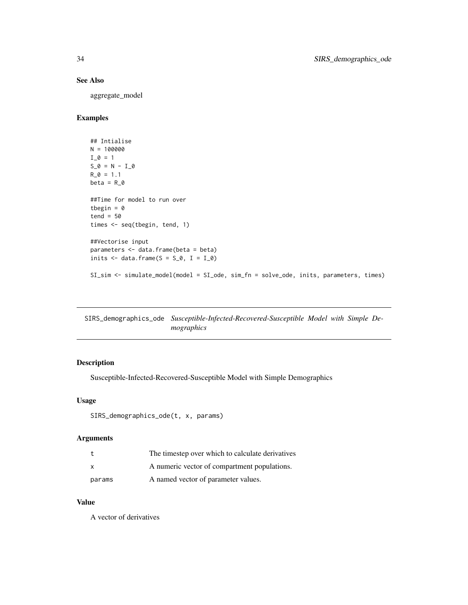## <span id="page-33-0"></span>See Also

aggregate\_model

## Examples

```
## Intialise
N = 100000
I_0 = 1S_0 = N - I_0R_0 = 1.1beta = R_0##Time for model to run over
tbegin = \thetatend = 50times <- seq(tbegin, tend, 1)
##Vectorise input
parameters <- data.frame(beta = beta)
inits \le data.frame(S = S_0, I = I_0)
SI_sim <- simulate_model(model = SI_ode, sim_fn = solve_ode, inits, parameters, times)
```
SIRS\_demographics\_ode *Susceptible-Infected-Recovered-Susceptible Model with Simple Demographics*

## Description

Susceptible-Infected-Recovered-Susceptible Model with Simple Demographics

#### Usage

```
SIRS_demographics_ode(t, x, params)
```
#### Arguments

| t      | The timestep over which to calculate derivatives |
|--------|--------------------------------------------------|
| x      | A numeric vector of compartment populations.     |
| params | A named vector of parameter values.              |

#### Value

A vector of derivatives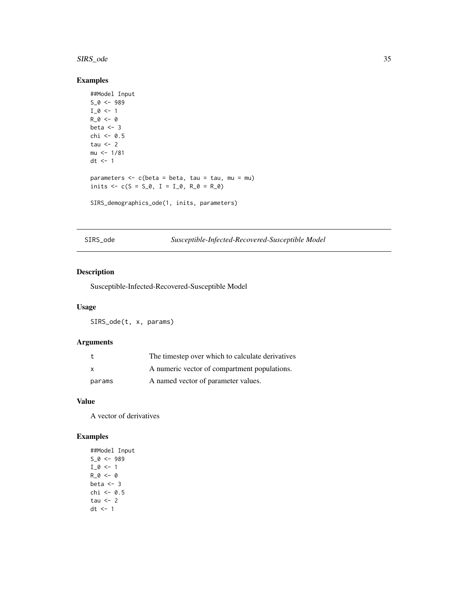#### <span id="page-34-0"></span>SIRS\_ode 35

## Examples

```
##Model Input
S_0 < -989I_0 \leftarrow 1R_0 < -0beta <-3chi <-0.5tau <-2mu < -1/81dt <- 1
parameters <- c(beta = beta, tau = tau, mu = mu)
inits \leq -c(S = S_0, I = I_0, R_0 = R_0)SIRS_demographics_ode(1, inits, parameters)
```
SIRS\_ode *Susceptible-Infected-Recovered-Susceptible Model*

#### Description

Susceptible-Infected-Recovered-Susceptible Model

## Usage

SIRS\_ode(t, x, params)

## Arguments

|        | The timestep over which to calculate derivatives |
|--------|--------------------------------------------------|
| X      | A numeric vector of compartment populations.     |
| params | A named vector of parameter values.              |

### Value

A vector of derivatives

## Examples

##Model Input  $S_0 < -989$  $I_0 \leftarrow 1$  $R_0 < -0$ beta  $<-3$ chi <- 0.5 tau  $<-2$ dt <- 1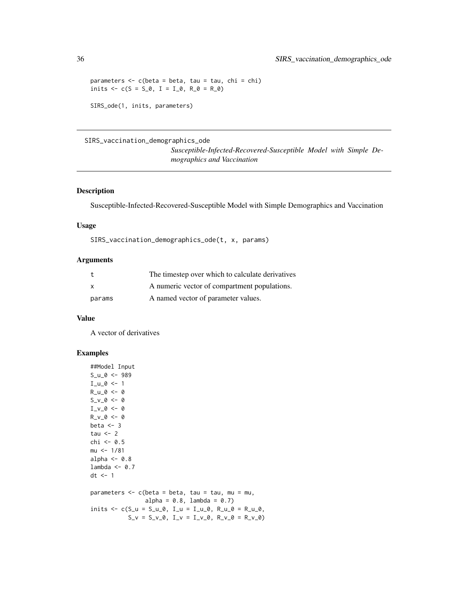```
parameters \leq c(beta = beta, tau = tau, chi = chi)
inits \leq c(S = S_0, I = I_0, R_0 = R_0)SIRS_ode(1, inits, parameters)
```
#### SIRS\_vaccination\_demographics\_ode

*Susceptible-Infected-Recovered-Susceptible Model with Simple Demographics and Vaccination*

#### Description

Susceptible-Infected-Recovered-Susceptible Model with Simple Demographics and Vaccination

#### Usage

SIRS\_vaccination\_demographics\_ode(t, x, params)

#### Arguments

|              | The timestep over which to calculate derivatives |
|--------------|--------------------------------------------------|
| $\mathsf{x}$ | A numeric vector of compartment populations.     |
| params       | A named vector of parameter values.              |

#### Value

A vector of derivatives

```
##Model Input
S_u_0 <- 989
I_u_0 < -1R_u_0 < -0S_v_0 - 0 < -0I_v_0 \leftarrow 0R_v_0 - 0 < -0beta <-3tau <-2chi <- 0.5
mu <- 1/81
alpha <-0.8lambda <- 0.7
dt <- 1
parameters \leq -c (beta = beta, tau = tau, mu = mu,
                alpha = 0.8, lambda = 0.7)
inits \leq c(S_u = S_u_0, I_u = I_u_0, R_u_0 = R_u_0,S_v = S_v_0, I_v = I_v_0, R_v_0 = R_v_0
```
<span id="page-35-0"></span>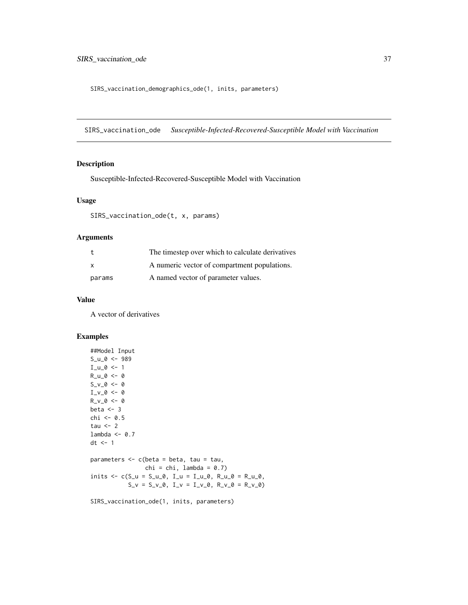<span id="page-36-0"></span>SIRS\_vaccination\_demographics\_ode(1, inits, parameters)

SIRS\_vaccination\_ode *Susceptible-Infected-Recovered-Susceptible Model with Vaccination*

## Description

Susceptible-Infected-Recovered-Susceptible Model with Vaccination

## Usage

SIRS\_vaccination\_ode(t, x, params)

#### Arguments

|              | The timestep over which to calculate derivatives |
|--------------|--------------------------------------------------|
| $\mathsf{x}$ | A numeric vector of compartment populations.     |
| params       | A named vector of parameter values.              |

## Value

A vector of derivatives

## Examples

```
##Model Input
S_u_0 <- 989
I_u_0 < -1R_u_0 < -0S_v_0 = 0 <- 0
I_v_0 \leftarrow 0R_v_0 \sim -0beta <-3chi <- 0.5
tau <-2lambda <- 0.7
dt <- 1
parameters \leq c(beta = beta, tau = tau,
                chi = chi, lambda = 0.7)
inits \leq c(S_u = S_u_0, I_u = I_u_0, R_u_0 = R_u_0,S_v = S_v_0, I_v = I_v_0, R_v_0 = R_v_0
```
SIRS\_vaccination\_ode(1, inits, parameters)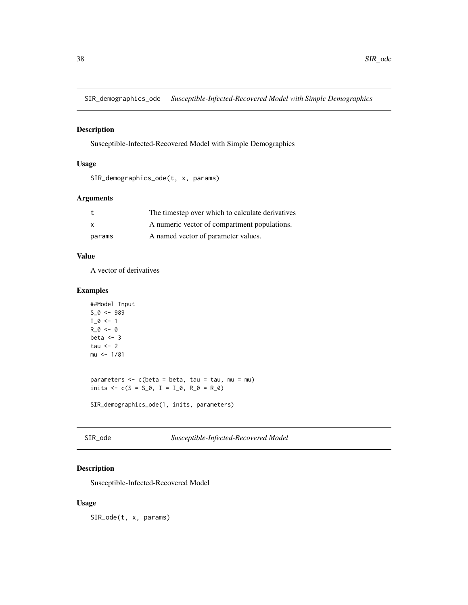<span id="page-37-0"></span>SIR\_demographics\_ode *Susceptible-Infected-Recovered Model with Simple Demographics*

#### Description

Susceptible-Infected-Recovered Model with Simple Demographics

## Usage

```
SIR_demographics_ode(t, x, params)
```
## Arguments

|              | The timestep over which to calculate derivatives |
|--------------|--------------------------------------------------|
| $\mathsf{x}$ | A numeric vector of compartment populations.     |
| params       | A named vector of parameter values.              |

## Value

A vector of derivatives

## Examples

```
##Model Input
S_0 < -989I_0 \leftarrow 1R_0 < -0beta <-3tau <-2mu <- 1/81
parameters <- c(beta = beta, tau = tau, mu = mu)
inits \leq -c(S = S_0, I = I_0, R_0 = R_0)SIR_demographics_ode(1, inits, parameters)
```
SIR\_ode *Susceptible-Infected-Recovered Model*

## Description

Susceptible-Infected-Recovered Model

## Usage

SIR\_ode(t, x, params)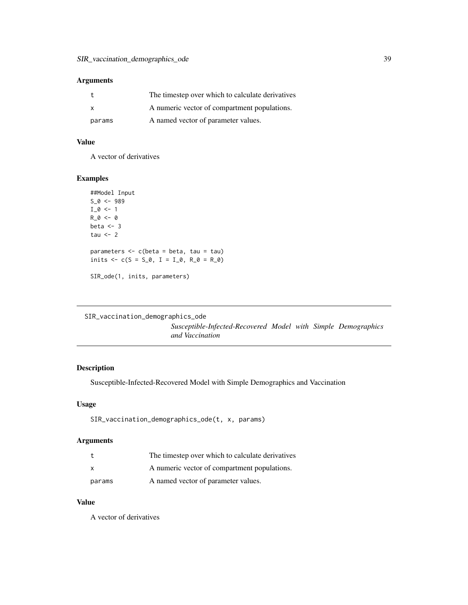### <span id="page-38-0"></span>Arguments

|          | The timestep over which to calculate derivatives |
|----------|--------------------------------------------------|
| <b>X</b> | A numeric vector of compartment populations.     |
| params   | A named vector of parameter values.              |

## Value

A vector of derivatives

## Examples

```
##Model Input
S_0 < -989I_0 \leftarrow 1R_0 < -0beta <-3tau <-2parameters <- c(beta = beta, tau = tau)
inits \leq c(S = S_0, I = I_0, R_0 = R_0)SIR_ode(1, inits, parameters)
```
SIR\_vaccination\_demographics\_ode

*Susceptible-Infected-Recovered Model with Simple Demographics and Vaccination*

## Description

Susceptible-Infected-Recovered Model with Simple Demographics and Vaccination

## Usage

```
SIR_vaccination_demographics_ode(t, x, params)
```
## Arguments

| t      | The timestep over which to calculate derivatives |
|--------|--------------------------------------------------|
| X      | A numeric vector of compartment populations.     |
| params | A named vector of parameter values.              |

#### Value

A vector of derivatives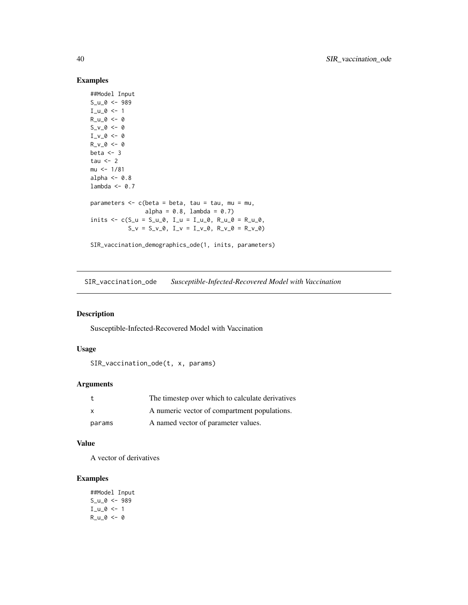## Examples

```
##Model Input
S_u_0 <- 989
I_u_0 < -1R_u_0 < -0S_v_0 = 0 <- 0
I_v_0 < -0R_v_0 - 0 < - 0beta <-3tau <-2mu <- 1/81
alpha <-0.8lambda <- 0.7
parameters \leq c(beta = beta, tau = tau, mu = mu,
                  alpha = 0.8, lambda = 0.7)
inits \leq -c(S_{-}u = S_{-}u_{-}\theta, I_{-}u = I_{-}u_{-}\theta, R_{-}u_{-}\theta = R_{-}u_{-}\theta,S_v = S_v_0, I_v = I_v_0, R_v_0 = R_v_0SIR_vaccination_demographics_ode(1, inits, parameters)
```
SIR\_vaccination\_ode *Susceptible-Infected-Recovered Model with Vaccination*

## Description

Susceptible-Infected-Recovered Model with Vaccination

#### Usage

```
SIR_vaccination_ode(t, x, params)
```
## Arguments

|              | The timestep over which to calculate derivatives |
|--------------|--------------------------------------------------|
| $\mathbf{x}$ | A numeric vector of compartment populations.     |
| params       | A named vector of parameter values.              |

#### Value

A vector of derivatives

## Examples

##Model Input S\_u\_0 <- 989  $I_u_0 < -1$  $R_u_0 < -0$ 

<span id="page-39-0"></span>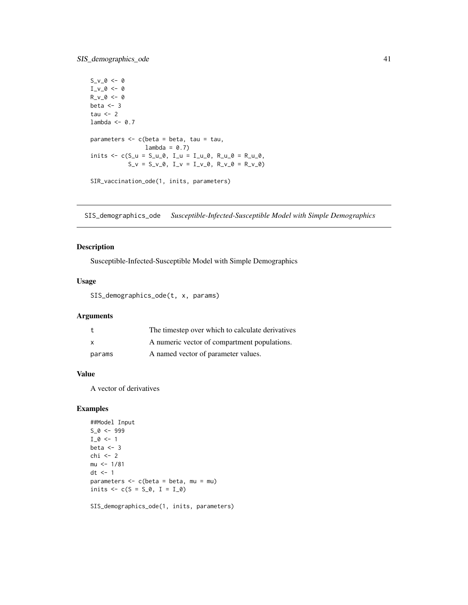```
S_v - 0 < - 0I_v_0 < -0R_v_0 \sim -0beta <-3tau <-2lambda <- 0.7
parameters <- c(beta = beta, tau = tau,
                   lambda = 0.7inits \leq c(S_{u} = S_{u} \cup \emptyset, I_{u} = I_{u} \cup \emptyset, R_{u} \cup \emptyset = R_{u} \cup \emptyset,S_v = S_v_0, I_v = I_v_0, R_v_0 = R_v_0SIR_vaccination_ode(1, inits, parameters)
```
SIS\_demographics\_ode *Susceptible-Infected-Susceptible Model with Simple Demographics*

## Description

Susceptible-Infected-Susceptible Model with Simple Demographics

## Usage

SIS\_demographics\_ode(t, x, params)

#### Arguments

|              | The timestep over which to calculate derivatives |
|--------------|--------------------------------------------------|
| $\mathbf{x}$ | A numeric vector of compartment populations.     |
| params       | A named vector of parameter values.              |

## Value

A vector of derivatives

## Examples

```
##Model Input
S_0 < -999I_0 \leftarrow 1beta <-3chi < -2mu < -1/81dt <- 1
parameters \leq c(beta = beta, mu = mu)
inits <-c(S = S_0, I = I_0)
```
SIS\_demographics\_ode(1, inits, parameters)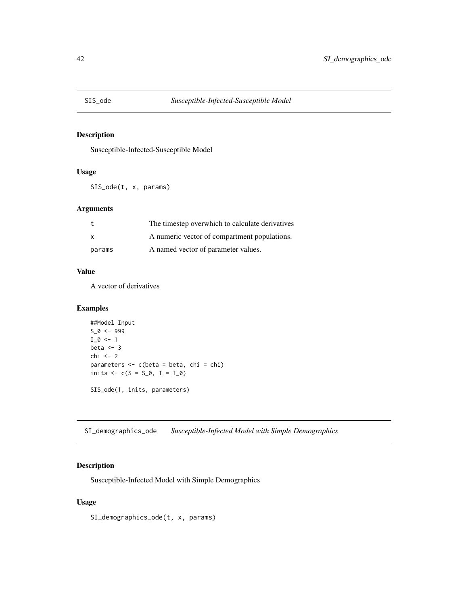<span id="page-41-0"></span>

## Description

Susceptible-Infected-Susceptible Model

## Usage

SIS\_ode(t, x, params)

#### Arguments

|          | The timestep overwhich to calculate derivatives |
|----------|-------------------------------------------------|
| <b>X</b> | A numeric vector of compartment populations.    |
| params   | A named vector of parameter values.             |

#### Value

A vector of derivatives

## Examples

```
##Model Input
S_0 < -999I_0 \leftarrow 1beta <-3chi <- 2
parameters <- c(beta = beta, chi = chi)
inits <-c(S = S_0, I = I_0)SIS_ode(1, inits, parameters)
```
SI\_demographics\_ode *Susceptible-Infected Model with Simple Demographics*

## Description

Susceptible-Infected Model with Simple Demographics

#### Usage

SI\_demographics\_ode(t, x, params)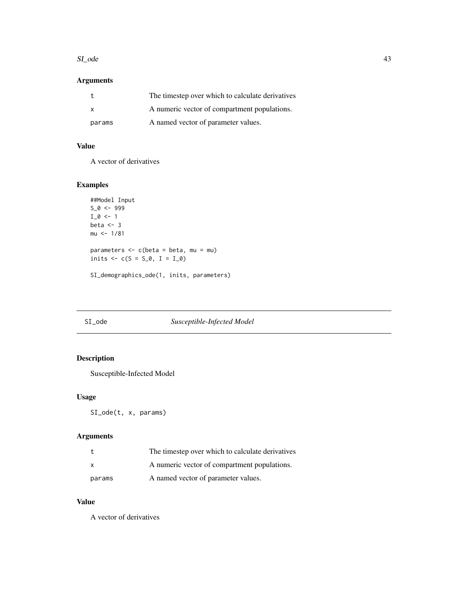#### <span id="page-42-0"></span> $SI_{\sim}$  and 43

## Arguments

|        | The timestep over which to calculate derivatives |
|--------|--------------------------------------------------|
| X.     | A numeric vector of compartment populations.     |
| params | A named vector of parameter values.              |

## Value

A vector of derivatives

## Examples

```
##Model Input
S_0 < -999I_0 \leftarrow 1beta <-3mu < -1/81parameters \leq c(beta = beta, mu = mu)
inits <-c(S = S_0, I = I_0)SI_demographics_ode(1, inits, parameters)
```
<span id="page-42-1"></span>

## SI\_ode *Susceptible-Infected Model*

## Description

Susceptible-Infected Model

#### Usage

SI\_ode(t, x, params)

## Arguments

|        | The timestep over which to calculate derivatives |
|--------|--------------------------------------------------|
| X      | A numeric vector of compartment populations.     |
| params | A named vector of parameter values.              |

#### Value

A vector of derivatives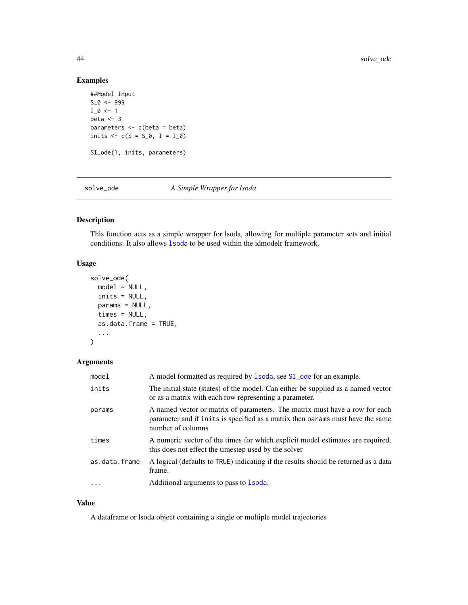## <span id="page-43-0"></span>Examples

```
##Model Input
S_0 < -999I_0 \leftarrow 1beta <-3parameters <- c(beta = beta)
inits <-c(S = S_0, I = I_0)SI_ode(1, inits, parameters)
```
<span id="page-43-1"></span>solve\_ode *A Simple Wrapper for lsoda*

## Description

This function acts as a simple wrapper for lsoda, allowing for multiple parameter sets and initial conditions. It also allows [lsoda](#page-0-0) to be used within the idmodelr framework.

## Usage

```
solve_ode(
  model = NULL,inits = NULL,
  params = NULL,
  times = NULL,
  as.data.frame = TRUE,
  ...
\mathcal{L}
```
## Arguments

| model         | A model formatted as required by 1soda, see SI_ode for an example.                                                                                                                 |
|---------------|------------------------------------------------------------------------------------------------------------------------------------------------------------------------------------|
| inits         | The initial state (states) of the model. Can either be supplied as a named vector<br>or as a matrix with each row representing a parameter.                                        |
| params        | A named vector or matrix of parameters. The matrix must have a row for each<br>parameter and if inits is specified as a matrix then params must have the same<br>number of columns |
| times         | A numeric vector of the times for which explicit model estimates are required,<br>this does not effect the timestep used by the solver                                             |
| as.data.frame | A logical (defaults to TRUE) indicating if the results should be returned as a data<br>frame.                                                                                      |
| $\cdots$      | Additional arguments to pass to 1 soda.                                                                                                                                            |

#### Value

A dataframe or lsoda object containing a single or multiple model trajectories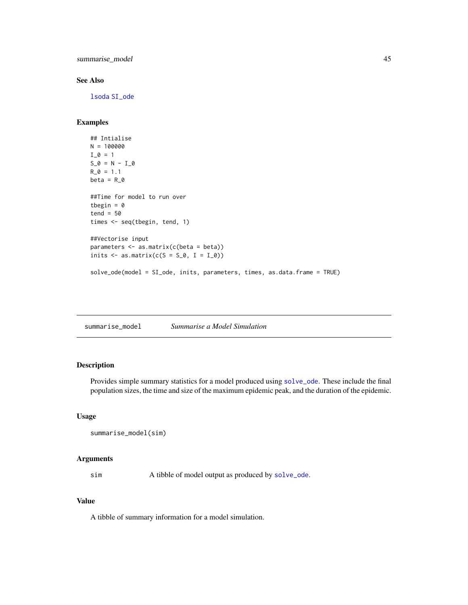<span id="page-44-0"></span>summarise\_model 45

### See Also

[lsoda](#page-0-0) [SI\\_ode](#page-42-1)

## Examples

```
## Intialise
N = 100000
I_0 = 1S_0 = N - I_0R_0 = 1.1beta = R_0##Time for model to run over
tbegin = \thetatend = 50times <- seq(tbegin, tend, 1)
##Vectorise input
parameters <- as.matrix(c(beta = beta))
inits \leq as.matrix(c(S = S_0, I = I_0))
solve_ode(model = SI_ode, inits, parameters, times, as.data.frame = TRUE)
```
summarise\_model *Summarise a Model Simulation*

## Description

Provides simple summary statistics for a model produced using [solve\\_ode](#page-43-1). These include the final population sizes, the time and size of the maximum epidemic peak, and the duration of the epidemic.

#### Usage

```
summarise_model(sim)
```
## Arguments

sim A tibble of model output as produced by [solve\\_ode](#page-43-1).

## Value

A tibble of summary information for a model simulation.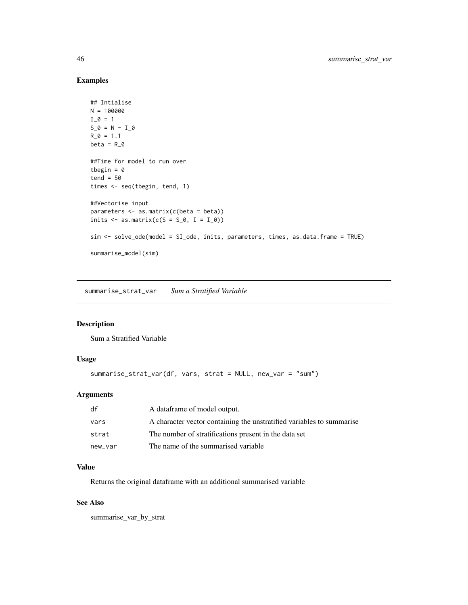## Examples

```
## Intialise
N = 100000
I_0 = 1S_0 = N - I_0R_0 = 1.1beta = R_0##Time for model to run over
tbegin = \thetatend = 50times <- seq(tbegin, tend, 1)
##Vectorise input
parameters <- as.matrix(c(beta = beta))
inits \leq as.matrix(c(S = S_0, I = I_0))
sim <- solve_ode(model = SI_ode, inits, parameters, times, as.data.frame = TRUE)
summarise_model(sim)
```
summarise\_strat\_var *Sum a Stratified Variable*

#### Description

Sum a Stratified Variable

#### Usage

```
summarise_strat_var(df, vars, strat = NULL, new_var = "sum")
```
## Arguments

| df      | A data frame of model output.                                         |
|---------|-----------------------------------------------------------------------|
| vars    | A character vector containing the unstratified variables to summarise |
| strat   | The number of stratifications present in the data set                 |
| new_var | The name of the summarised variable                                   |

### Value

Returns the original dataframe with an additional summarised variable

## See Also

summarise\_var\_by\_strat

<span id="page-45-0"></span>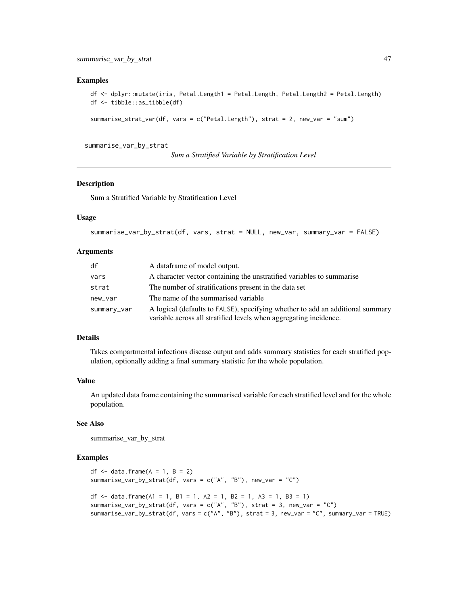#### <span id="page-46-0"></span>Examples

```
df <- dplyr::mutate(iris, Petal.Length1 = Petal.Length, Petal.Length2 = Petal.Length)
df <- tibble::as_tibble(df)
```

```
summarise_strat_var(df, vars = c("Petal.Length"), strat = 2, new_var = "sum")
```
summarise\_var\_by\_strat

```
Sum a Stratified Variable by Stratification Level
```
#### Description

Sum a Stratified Variable by Stratification Level

#### Usage

```
summarise_var_by_strat(df, vars, strat = NULL, new_var, summary_var = FALSE)
```
## Arguments

| df          | A dataframe of model output.                                                                                                                        |
|-------------|-----------------------------------------------------------------------------------------------------------------------------------------------------|
| vars        | A character vector containing the unstratified variables to summarise                                                                               |
| strat       | The number of stratifications present in the data set                                                                                               |
| new_var     | The name of the summarised variable.                                                                                                                |
| summary_var | A logical (defaults to FALSE), specifying whether to add an additional summary<br>variable across all stratified levels when aggregating incidence. |

## Details

Takes compartmental infectious disease output and adds summary statistics for each stratified population, optionally adding a final summary statistic for the whole population.

#### Value

An updated data frame containing the summarised variable for each stratified level and for the whole population.

## See Also

summarise\_var\_by\_strat

```
df \leq data.frame(A = 1, B = 2)
summarise_var_by_strat(df, vars = c("A", "B"), new_var = "C")
df \le data.frame(A1 = 1, B1 = 1, A2 = 1, B2 = 1, A3 = 1, B3 = 1)
summarise_var_by_strat(df, vars = c("A", "B"), strat = 3, new_var = "C")
summarise_var_by_strat(df, vars = c("A", "B"), strat = 3, new_var = "C", summary_var = TRUE)
```